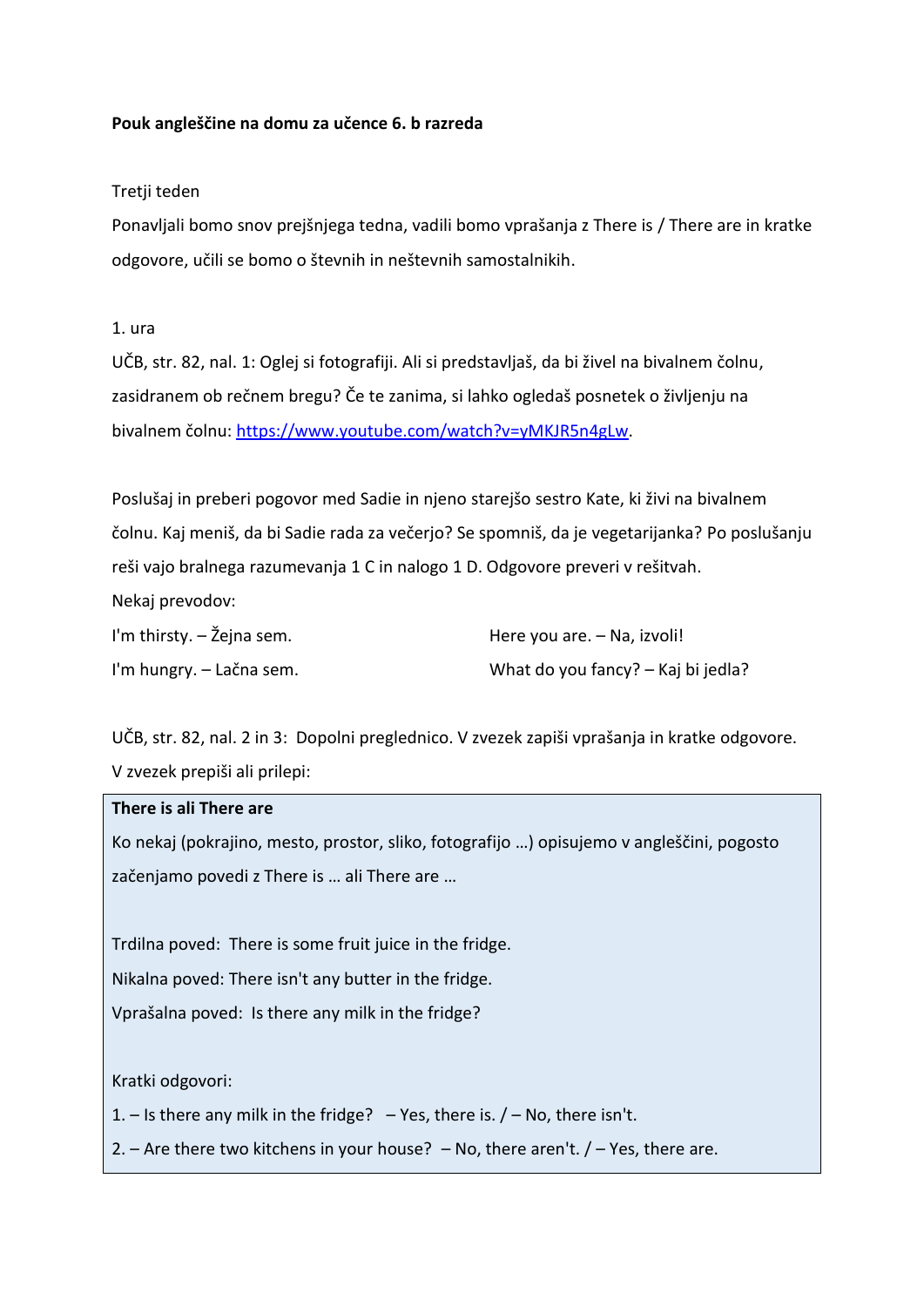# **Pouk angleščine na domu za učence 6. b razreda**

# Tretji teden

Ponavljali bomo snov prejšnjega tedna, vadili bomo vprašanja z There is / There are in kratke odgovore, učili se bomo o števnih in neštevnih samostalnikih.

# 1. ura

UČB, str. 82, nal. 1: Oglej si fotografiji. Ali si predstavljaš, da bi živel na bivalnem čolnu, zasidranem ob rečnem bregu? Če te zanima, si lahko ogledaš posnetek o življenju na bivalnem čolnu: [https://www.youtube.com/watch?v=yMKJR5n4gLw.](https://www.youtube.com/watch?v=yMKJR5n4gLw)

Poslušaj in preberi pogovor med Sadie in njeno starejšo sestro Kate, ki živi na bivalnem čolnu. Kaj meniš, da bi Sadie rada za večerjo? Se spomniš, da je vegetarijanka? Po poslušanju reši vajo bralnega razumevanja 1 C in nalogo 1 D. Odgovore preveri v rešitvah.

Nekaj prevodov:

| I'm thirsty. $-\zeta$ ejna sem. | Here you are. – Na, izvoli!        |
|---------------------------------|------------------------------------|
| I'm hungry. – Lačna sem.        | What do you fancy? – Kaj bi jedla? |

UČB, str. 82, nal. 2 in 3: Dopolni preglednico. V zvezek zapiši vprašanja in kratke odgovore. V zvezek prepiši ali prilepi:

# **There is ali There are**

Ko nekaj (pokrajino, mesto, prostor, sliko, fotografijo …) opisujemo v angleščini, pogosto začenjamo povedi z There is … ali There are …

Trdilna poved: There is some fruit juice in the fridge. Nikalna poved: There isn't any butter in the fridge. Vprašalna poved: Is there any milk in the fridge?

Kratki odgovori:

1. – Is there any milk in the fridge? – Yes, there is.  $/$  – No, there isn't.

2. – Are there two kitchens in your house? – No, there aren't.  $/$  – Yes, there are.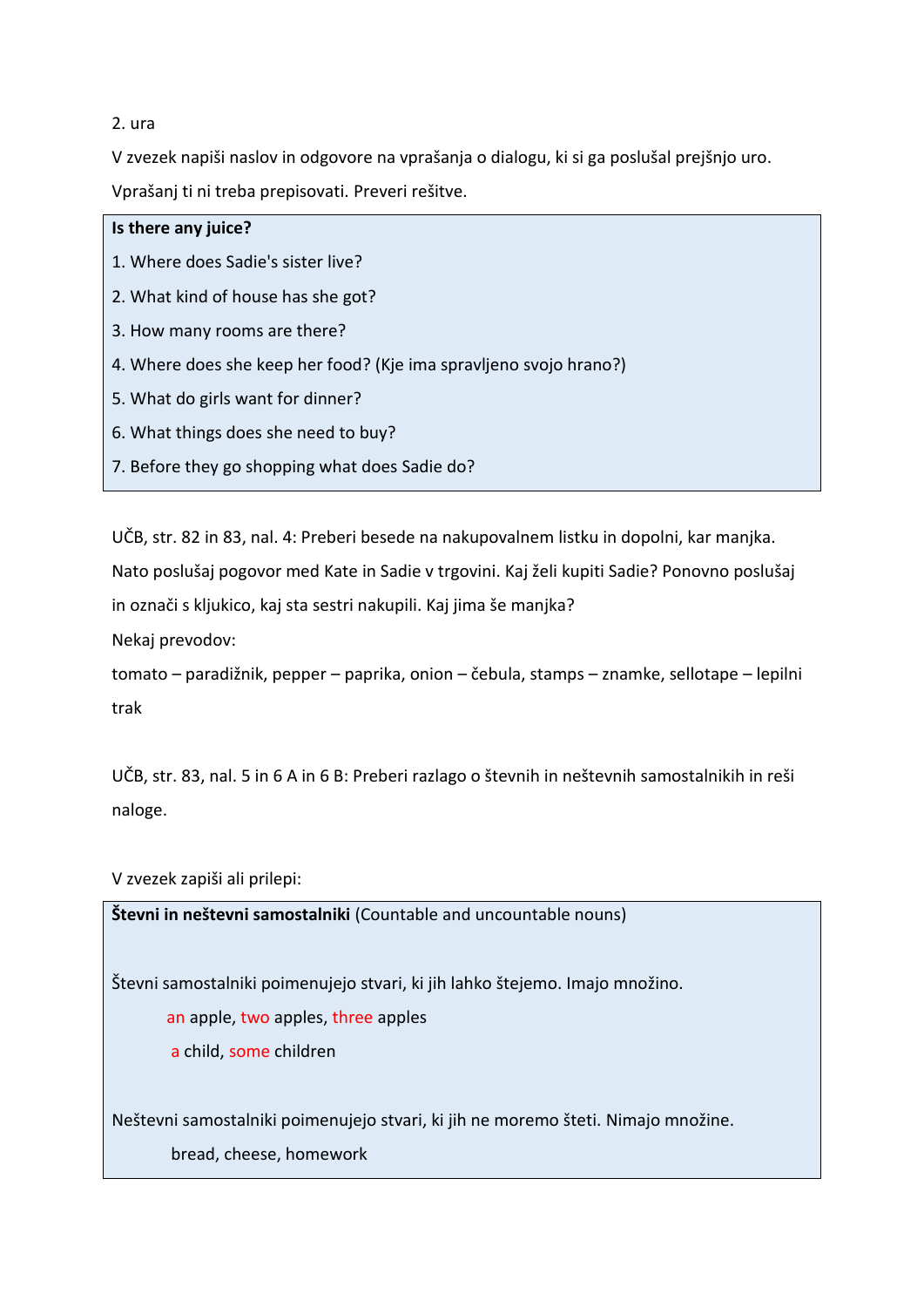# 2. ura

V zvezek napiši naslov in odgovore na vprašanja o dialogu, ki si ga poslušal prejšnjo uro.

Vprašanj ti ni treba prepisovati. Preveri rešitve.

| Is there any juice?                                                |
|--------------------------------------------------------------------|
| 1. Where does Sadie's sister live?                                 |
| 2. What kind of house has she got?                                 |
| 3. How many rooms are there?                                       |
| 4. Where does she keep her food? (Kje ima spravljeno svojo hrano?) |
| 5. What do girls want for dinner?                                  |
| 6. What things does she need to buy?                               |
| 7. Before they go shopping what does Sadie do?                     |

UČB, str. 82 in 83, nal. 4: Preberi besede na nakupovalnem listku in dopolni, kar manjka. Nato poslušaj pogovor med Kate in Sadie v trgovini. Kaj želi kupiti Sadie? Ponovno poslušaj in označi s kljukico, kaj sta sestri nakupili. Kaj jima še manjka? Nekaj prevodov:

tomato – paradižnik, pepper – paprika, onion – čebula, stamps – znamke, sellotape – lepilni trak

UČB, str. 83, nal. 5 in 6 A in 6 B: Preberi razlago o števnih in neštevnih samostalnikih in reši naloge.

V zvezek zapiši ali prilepi:

**Števni in neštevni samostalniki** (Countable and uncountable nouns)

Števni samostalniki poimenujejo stvari, ki jih lahko štejemo. Imajo množino.

an apple, two apples, three apples

a child, some children

Neštevni samostalniki poimenujejo stvari, ki jih ne moremo šteti. Nimajo množine.

bread, cheese, homework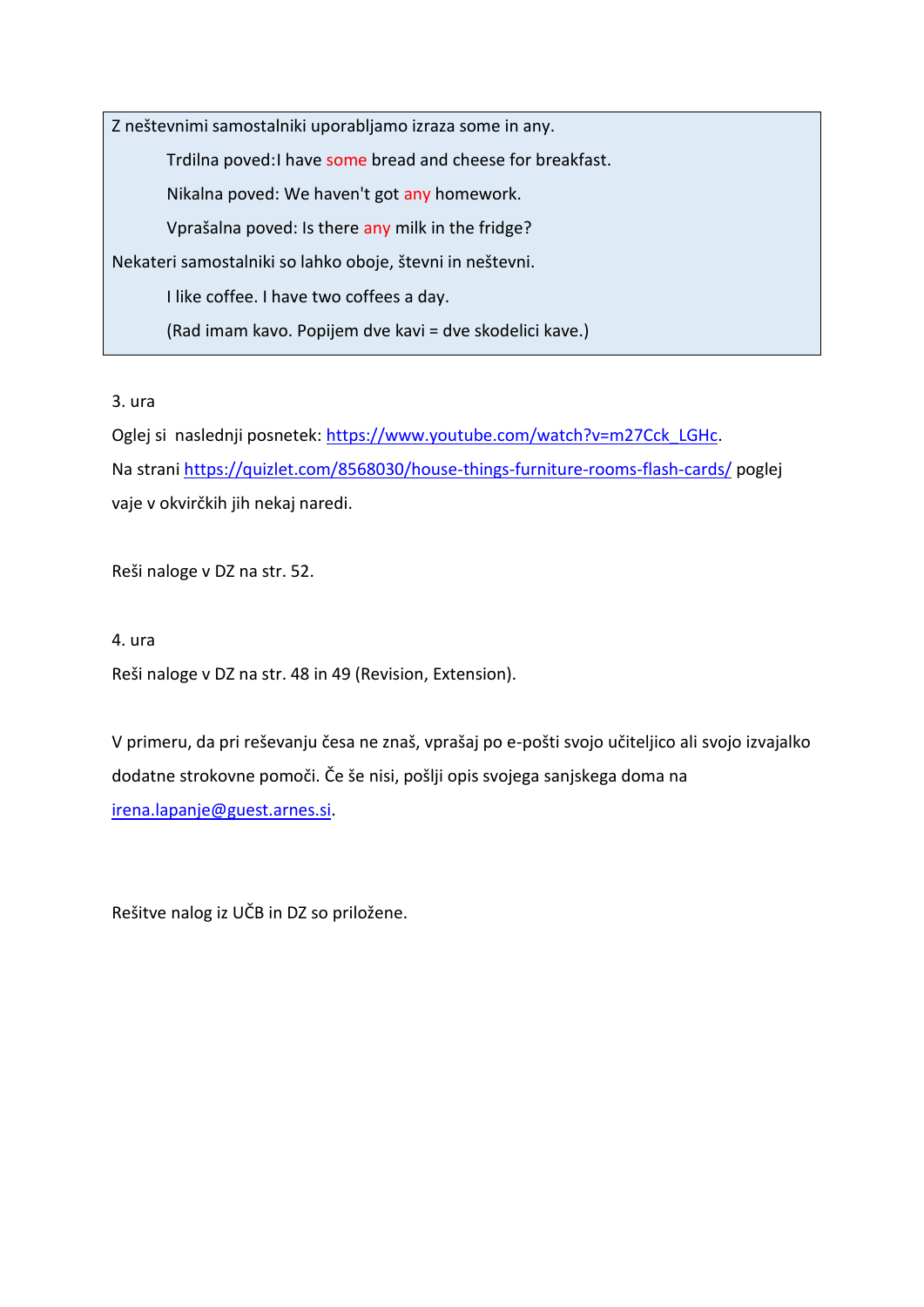Z neštevnimi samostalniki uporabljamo izraza some in any. Trdilna poved: I have some bread and cheese for breakfast. Nikalna poved: We haven't got any homework. Vprašalna poved: Is there any milk in the fridge? Nekateri samostalniki so lahko oboje, števni in neštevni. I like coffee. I have two coffees a day. (Rad imam kavo. Popijem dve kavi = dve skodelici kave.)

3. ura

Oglej si naslednji posnetek: [https://www.youtube.com/watch?v=m27Cck\\_LGHc.](https://www.youtube.com/watch?v=m27Cck_LGHc) Na stran[i https://quizlet.com/8568030/house-things-furniture-rooms-flash-cards/](https://quizlet.com/8568030/house-things-furniture-rooms-flash-cards/) poglej vaje v okvirčkih jih nekaj naredi.

Reši naloge v DZ na str. 52.

4. ura

Reši naloge v DZ na str. 48 in 49 (Revision, Extension).

V primeru, da pri reševanju česa ne znaš, vprašaj po e-pošti svojo učiteljico ali svojo izvajalko dodatne strokovne pomoči. Če še nisi, pošlji opis svojega sanjskega doma na [irena.lapanje@guest.arnes.si.](mailto:irena.lapanje@guest.arnes.si)

Rešitve nalog iz UČB in DZ so priložene.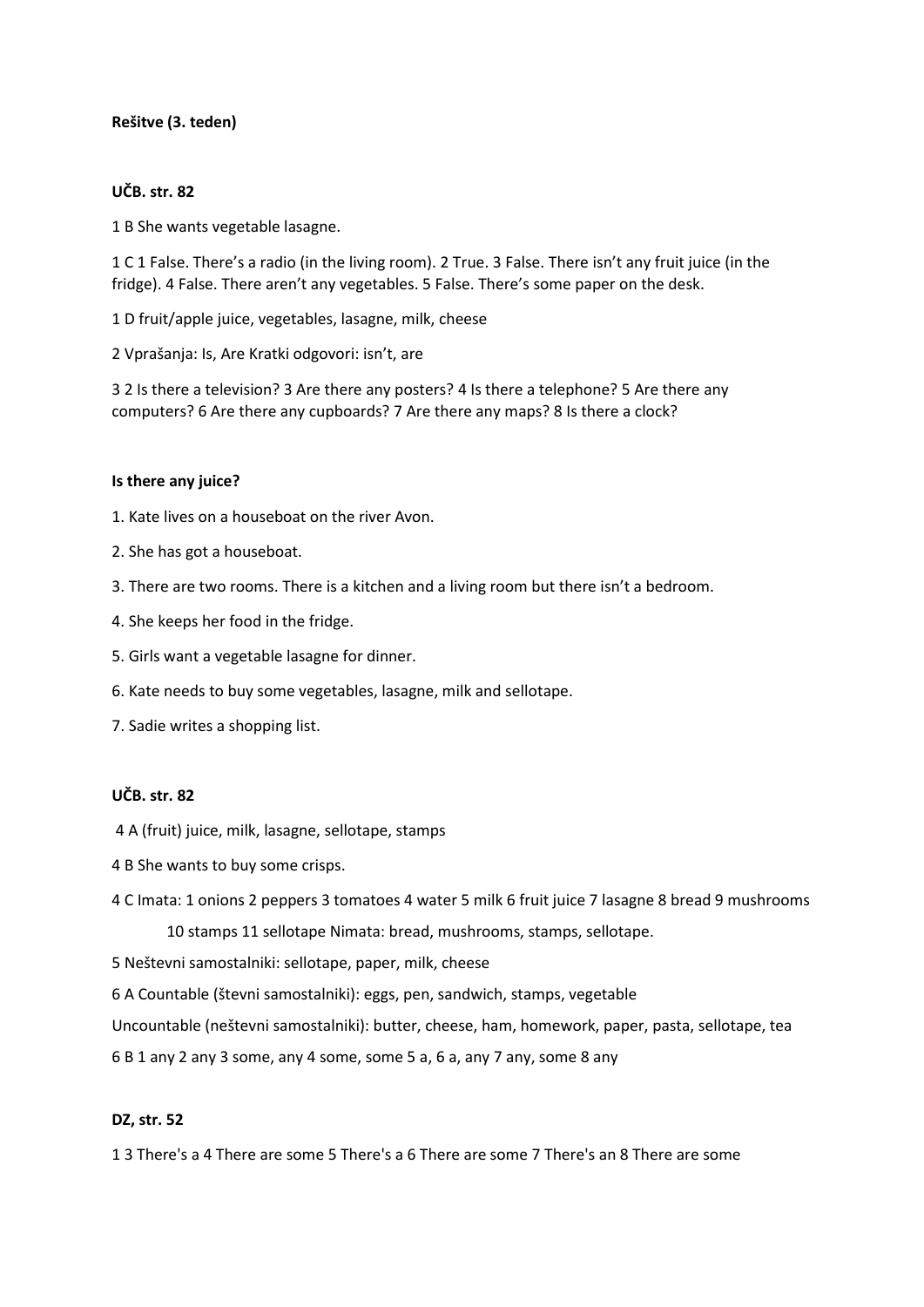# **Rešitve (3. teden)**

#### **UČB. str. 82**

1 B She wants vegetable lasagne.

1 C 1 False. There's a radio (in the living room). 2 True. 3 False. There isn't any fruit juice (in the fridge). 4 False. There aren't any vegetables. 5 False. There's some paper on the desk.

1 D fruit/apple juice, vegetables, lasagne, milk, cheese

2 Vprašanja: Is, Are Kratki odgovori: isn't, are

3 2 Is there a television? 3 Are there any posters? 4 Is there a telephone? 5 Are there any computers? 6 Are there any cupboards? 7 Are there any maps? 8 Is there a clock?

#### **Is there any juice?**

- 1. Kate lives on a houseboat on the river Avon.
- 2. She has got a houseboat.
- 3. There are two rooms. There is a kitchen and a living room but there isn't a bedroom.
- 4. She keeps her food in the fridge.
- 5. Girls want a vegetable lasagne for dinner.
- 6. Kate needs to buy some vegetables, lasagne, milk and sellotape.
- 7. Sadie writes a shopping list.

#### **UČB. str. 82**

- 4 A (fruit) juice, milk, lasagne, sellotape, stamps
- 4 B She wants to buy some crisps.
- 4 C Imata: 1 onions 2 peppers 3 tomatoes 4 water 5 milk 6 fruit juice 7 lasagne 8 bread 9 mushrooms 10 stamps 11 sellotape Nimata: bread, mushrooms, stamps, sellotape.
- 5 Neštevni samostalniki: sellotape, paper, milk, cheese
- 6 A Countable (števni samostalniki): eggs, pen, sandwich, stamps, vegetable
- Uncountable (neštevni samostalniki): butter, cheese, ham, homework, paper, pasta, sellotape, tea
- 6 B 1 any 2 any 3 some, any 4 some, some 5 a, 6 a, any 7 any, some 8 any

#### **DZ, str. 52**

1 3 There's a 4 There are some 5 There's a 6 There are some 7 There's an 8 There are some